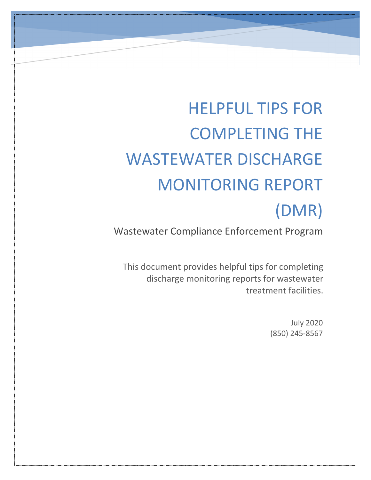# HELPFUL TIPS FOR COMPLETING THE WASTEWATER DISCHARGE MONITORING REPORT (DMR)

Wastewater Compliance Enforcement Program

This document provides helpful tips for completing discharge monitoring reports for wastewater treatment facilities.

> July 2020 (850) 245-8567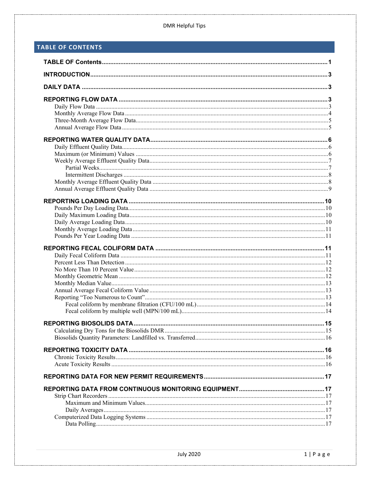# <span id="page-1-0"></span>TABLE OF CONTENTS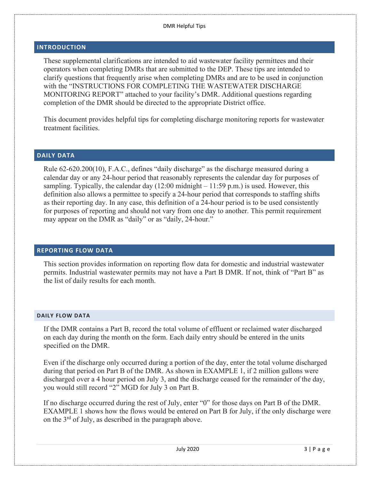## <span id="page-3-0"></span>**INTRODUCTION**

These supplemental clarifications are intended to aid wastewater facility permittees and their operators when completing DMRs that are submitted to the DEP. These tips are intended to clarify questions that frequently arise when completing DMRs and are to be used in conjunction with the "INSTRUCTIONS FOR COMPLETING THE WASTEWATER DISCHARGE MONITORING REPORT" attached to your facility's DMR. Additional questions regarding completion of the DMR should be directed to the appropriate District office.

This document provides helpful tips for completing discharge monitoring reports for wastewater treatment facilities.

## <span id="page-3-1"></span>**DAILY DATA**

Rule 62-620.200(10), F.A.C., defines "daily discharge" as the discharge measured during a calendar day or any 24-hour period that reasonably represents the calendar day for purposes of sampling. Typically, the calendar day  $(12:00 \text{ midnight} - 11:59 \text{ p.m.})$  is used. However, this definition also allows a permittee to specify a 24-hour period that corresponds to staffing shifts as their reporting day. In any case, this definition of a 24-hour period is to be used consistently for purposes of reporting and should not vary from one day to another. This permit requirement may appear on the DMR as "daily" or as "daily, 24-hour."

## <span id="page-3-2"></span>**REPORTING FLOW DATA**

This section provides information on reporting flow data for domestic and industrial wastewater permits. Industrial wastewater permits may not have a Part B DMR. If not, think of "Part B" as the list of daily results for each month.

#### <span id="page-3-3"></span>**DAILY FLOW DATA**

If the DMR contains a Part B, record the total volume of effluent or reclaimed water discharged on each day during the month on the form. Each daily entry should be entered in the units specified on the DMR.

Even if the discharge only occurred during a portion of the day, enter the total volume discharged during that period on Part B of the DMR. As shown in EXAMPLE 1, if 2 million gallons were discharged over a 4 hour period on July 3, and the discharge ceased for the remainder of the day, you would still record "2" MGD for July 3 on Part B.

If no discharge occurred during the rest of July, enter "0" for those days on Part B of the DMR. EXAMPLE 1 shows how the flows would be entered on Part B for July, if the only discharge were on the 3rd of July, as described in the paragraph above.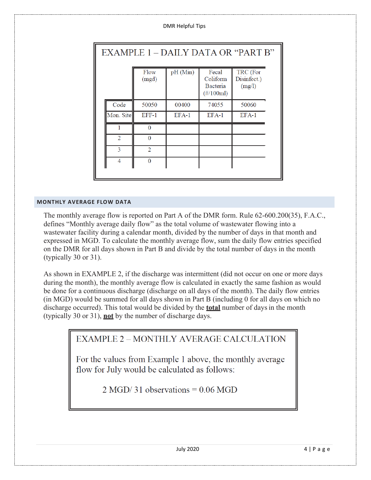| <b>DMR Helpful Tips</b> |
|-------------------------|
|-------------------------|

| EXAMPLE 1 – DAILY DATA OR "PART B" |                |          |                                               |                                   |
|------------------------------------|----------------|----------|-----------------------------------------------|-----------------------------------|
|                                    | Flow<br>(mgd)  | pH (Min) | Fecal<br>Coliform<br>Bacteria<br>$(\#/100ml)$ | TRC (For<br>Disinfect.)<br>(mg/l) |
| Code                               | 50050          | 00400    | 74055                                         | 50060                             |
| Mon. Site                          | BBB-1          | $EFA-1$  | $EFA-1$                                       | $EFA-1$                           |
|                                    | $\Omega$       |          |                                               |                                   |
| $\overline{2}$                     | $\Omega$       |          |                                               |                                   |
| 3                                  | $\overline{2}$ |          |                                               |                                   |
| 4                                  | $\bf{0}$       |          |                                               |                                   |
|                                    |                |          |                                               |                                   |

## <span id="page-4-0"></span>**MONTHLY AVERAGE FLOW DATA**

The monthly average flow is reported on Part A of the DMR form. Rule 62-600.200(35), F.A.C., defines "Monthly average daily flow" as the total volume of wastewater flowing into a wastewater facility during a calendar month, divided by the number of days in that month and expressed in MGD. To calculate the monthly average flow, sum the daily flow entries specified on the DMR for all days shown in Part B and divide by the total number of days in the month (typically 30 or 31).

As shown in EXAMPLE 2, if the discharge was intermittent (did not occur on one or more days during the month), the monthly average flow is calculated in exactly the same fashion as would be done for a continuous discharge (discharge on all days of the month). The daily flow entries (in MGD) would be summed for all days shown in Part B (including 0 for all days on which no discharge occurred). This total would be divided by the **total** number of days in the month (typically 30 or 31), **not** by the number of discharge days.

# **EXAMPLE 2 - MONTHLY AVERAGE CALCULATION**

For the values from Example 1 above, the monthly average flow for July would be calculated as follows:

 $2 \text{ MGD}/31$  observations = 0.06 MGD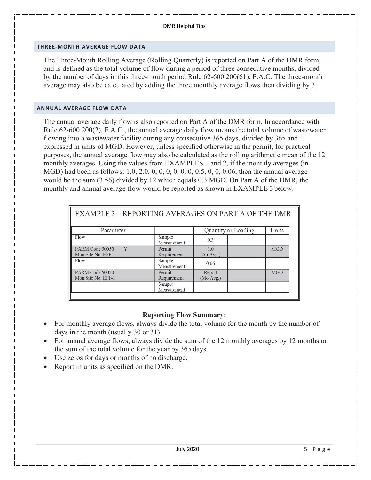#### <span id="page-5-0"></span>**THREE-MONTH AVERAGE FLOW DATA**

The Three-Month Rolling Average (Rolling Quarterly) is reported on Part A of the DMR form, and is defined as the total volume of flow during a period of three consecutive months, divided by the number of days in this three-month period Rule 62-600.200(61), F.A.C. The three-month average may also be calculated by adding the three monthly average flows then dividing by 3.

#### <span id="page-5-1"></span>**ANNUAL AVERAGE FLOW DATA**

The annual average daily flow is also reported on Part A of the DMR form. In accordance with Rule 62-600.200(2), F.A.C., the annual average daily flow means the total volume of wastewater flowing into a wastewater facility during any consecutive 365 days, divided by 365 and expressed in units of MGD. However, unless specified otherwise in the permit, for practical purposes, the annual average flow may also be calculated as the rolling arithmetic mean of the 12 monthly averages. Using the values from EXAMPLES 1 and 2, if the monthly averages (in MGD) had been as follows: 1.0, 2.0, 0, 0, 0, 0, 0, 0, 0.5, 0, 0, 0.06, then the annual average would be the sum (3.56) divided by 12 which equals 0.3 MGD. On Part A of the DMR, the monthly and annual average flow would be reported as shown in EXAMPLE 3 below:

| <b>EXAMPLE 3 - REPORTING AVERAGES ON PART A OF THE DMR</b> |                       |                     |            |
|------------------------------------------------------------|-----------------------|---------------------|------------|
| Parameter                                                  |                       | Quantity or Loading | Units      |
| Flow                                                       | Sample<br>Measurement | 0.3                 |            |
| PARM Code 50050<br>Y<br>Mon.Site No. EFF-1                 | Permit<br>Requirement | 1.0<br>(An.Avg.)    | <b>MGD</b> |
| Flow                                                       | Sample<br>Measurement | 0.06                |            |
| PARM Code 50050<br>Mon.Site No. EFF-1                      | Permit<br>Requirement | Report<br>(Mo.Avg.) | <b>MGD</b> |
|                                                            | Sample<br>Measurement |                     |            |

# **Reporting Flow Summary:**

- For monthly average flows, always divide the total volume for the month by the number of days in the month (usually 30 or 31).
- For annual average flows, always divide the sum of the 12 monthly averages by 12 months or the sum of the total volume for the year by 365 days.
- Use zeros for days or months of no discharge.
- Report in units as specified on the DMR.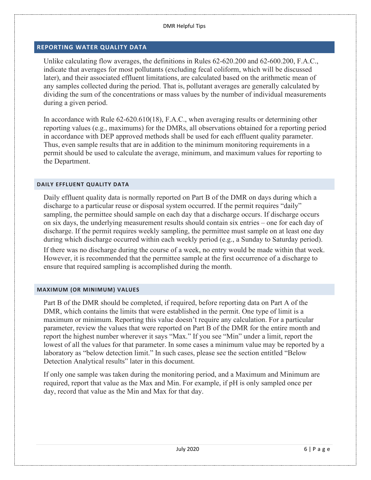## <span id="page-6-0"></span>**REPORTING WATER QUALITY DATA**

Unlike calculating flow averages, the definitions in Rules 62-620.200 and 62-600.200, F.A.C., indicate that averages for most pollutants (excluding fecal coliform, which will be discussed later), and their associated effluent limitations, are calculated based on the arithmetic mean of any samples collected during the period. That is, pollutant averages are generally calculated by dividing the sum of the concentrations or mass values by the number of individual measurements during a given period.

In accordance with Rule 62-620.610(18), F.A.C., when averaging results or determining other reporting values (e.g., maximums) for the DMRs, all observations obtained for a reporting period in accordance with DEP approved methods shall be used for each effluent quality parameter. Thus, even sample results that are in addition to the minimum monitoring requirements in a permit should be used to calculate the average, minimum, and maximum values for reporting to the Department.

#### <span id="page-6-1"></span>**DAILY EFFLUENT QUALITY DATA**

Daily effluent quality data is normally reported on Part B of the DMR on days during which a discharge to a particular reuse or disposal system occurred. If the permit requires "daily" sampling, the permittee should sample on each day that a discharge occurs. If discharge occurs on six days, the underlying measurement results should contain six entries – one for each day of discharge. If the permit requires weekly sampling, the permittee must sample on at least one day during which discharge occurred within each weekly period (e.g., a Sunday to Saturday period).

If there was no discharge during the course of a week, no entry would be made within that week. However, it is recommended that the permittee sample at the first occurrence of a discharge to ensure that required sampling is accomplished during the month.

#### <span id="page-6-2"></span>**MAXIMUM (OR MINIMUM) VALUES**

Part B of the DMR should be completed, if required, before reporting data on Part A of the DMR, which contains the limits that were established in the permit. One type of limit is a maximum or minimum. Reporting this value doesn't require any calculation. For a particular parameter, review the values that were reported on Part B of the DMR for the entire month and report the highest number wherever it says "Max." If you see "Min" under a limit, report the lowest of all the values for that parameter. In some cases a minimum value may be reported by a laboratory as "below detection limit." In such cases, please see the section entitled "Below Detection Analytical results" later in this document.

If only one sample was taken during the monitoring period, and a Maximum and Minimum are required, report that value as the Max and Min. For example, if pH is only sampled once per day, record that value as the Min and Max for that day.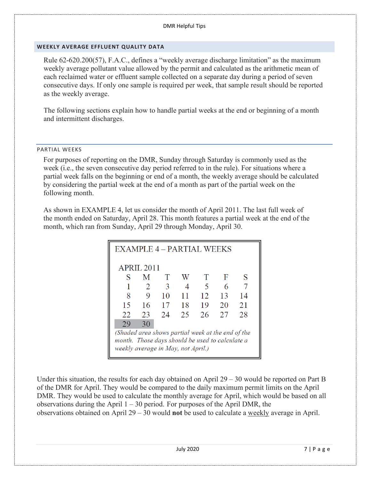## <span id="page-7-0"></span>**WEEKLY AVERAGE EFFLUENT QUALITY DATA**

Rule 62-620.200(57), F.A.C., defines a "weekly average discharge limitation" as the maximum weekly average pollutant value allowed by the permit and calculated as the arithmetic mean of each reclaimed water or effluent sample collected on a separate day during a period of seven consecutive days. If only one sample is required per week, that sample result should be reported as the weekly average.

The following sections explain how to handle partial weeks at the end or beginning of a month and intermittent discharges.

## <span id="page-7-1"></span>PARTIAL WEEKS

For purposes of reporting on the DMR, Sunday through Saturday is commonly used as the week (i.e., the seven consecutive day period referred to in the rule). For situations where a partial week falls on the beginning or end of a month, the weekly average should be calculated by considering the partial week at the end of a month as part of the partial week on the following month.

As shown in EXAMPLE 4, let us consider the month of April 2011. The last full week of the month ended on Saturday, April 28. This month features a partial week at the end of the month, which ran from Sunday, April 29 through Monday, April 30.

| EXAMPLE 4 - PARTIAL WEEKS                         |                |    |    |                          |    |    |
|---------------------------------------------------|----------------|----|----|--------------------------|----|----|
|                                                   | APRIL 2011     |    |    |                          |    |    |
| S                                                 | M              | T  | W  | T                        | F  | S  |
|                                                   | $\overline{2}$ | 3  |    | $\overline{\mathcal{L}}$ | 6  |    |
| 8                                                 | 9              | 10 | 11 | 12                       | 13 | 14 |
| 15                                                | 16             | 17 | 18 | 19                       | 20 | 21 |
| 22                                                | 23             | 24 | 25 | 26                       | 27 | 28 |
| 29                                                | 30             |    |    |                          |    |    |
| (Shaded area shows partial week at the end of the |                |    |    |                          |    |    |
| month. Those days should be used to calculate a   |                |    |    |                          |    |    |
| weekly average in May, not April.)                |                |    |    |                          |    |    |

Under this situation, the results for each day obtained on April 29 – 30 would be reported on Part B of the DMR for April. They would be compared to the daily maximum permit limits on the April DMR. They would be used to calculate the monthly average for April, which would be based on all observations during the April  $1 - 30$  period. For purposes of the April DMR, the observations obtained on April 29 – 30 would **not** be used to calculate a weekly average in April.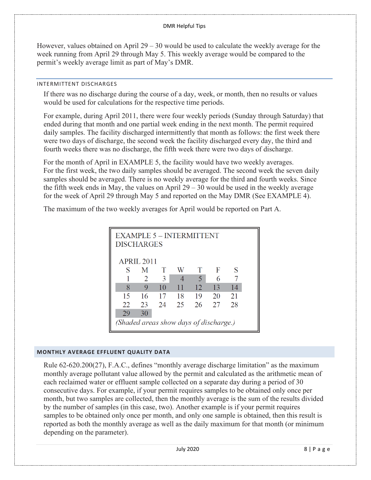However, values obtained on April  $29 - 30$  would be used to calculate the weekly average for the week running from April 29 through May 5. This weekly average would be compared to the permit's weekly average limit as part of May's DMR.

#### <span id="page-8-0"></span>INTERMITTENT DISCHARGES

If there was no discharge during the course of a day, week, or month, then no results or values would be used for calculations for the respective time periods.

For example, during April 2011, there were four weekly periods (Sunday through Saturday) that ended during that month and one partial week ending in the next month. The permit required daily samples. The facility discharged intermittently that month as follows: the first week there were two days of discharge, the second week the facility discharged every day, the third and fourth weeks there was no discharge, the fifth week there were two days of discharge.

For the month of April in EXAMPLE 5, the facility would have two weekly averages. For the first week, the two daily samples should be averaged. The second week the seven daily samples should be averaged. There is no weekly average for the third and fourth weeks. Since the fifth week ends in May, the values on April  $29 - 30$  would be used in the weekly average for the week of April 29 through May 5 and reported on the May DMR (See EXAMPLE 4).

The maximum of the two weekly averages for April would be reported on Part A.

| EXAMPLE 5 - INTERMITTENT<br><b>DISCHARGES</b> |            |    |                          |                          |    |    |  |
|-----------------------------------------------|------------|----|--------------------------|--------------------------|----|----|--|
|                                               | APRIL 2011 |    |                          |                          |    |    |  |
| S                                             | M          | T  | W                        | т                        | F  | S  |  |
|                                               | 2          | 3  | $\boldsymbol{\varDelta}$ | $\overline{\mathcal{L}}$ | 6  |    |  |
| 8                                             | 9          | 10 | 11                       | 12                       | 13 | 14 |  |
| 15                                            | 16         | 17 | 18                       | 19                       | 20 | 21 |  |
| 22                                            | 23         | 24 | 25                       | 26                       | 27 | 28 |  |
| 29                                            | 30         |    |                          |                          |    |    |  |
| (Shaded areas show days of discharge.)        |            |    |                          |                          |    |    |  |

#### <span id="page-8-1"></span>**MONTHLY AVERAGE EFFLUENT QUALITY DATA**

Rule 62-620.200(27), F.A.C., defines "monthly average discharge limitation" as the maximum monthly average pollutant value allowed by the permit and calculated as the arithmetic mean of each reclaimed water or effluent sample collected on a separate day during a period of 30 consecutive days. For example, if your permit requires samples to be obtained only once per month, but two samples are collected, then the monthly average is the sum of the results divided by the number of samples (in this case, two). Another example is if your permit requires samples to be obtained only once per month, and only one sample is obtained, then this result is reported as both the monthly average as well as the daily maximum for that month (or minimum depending on the parameter).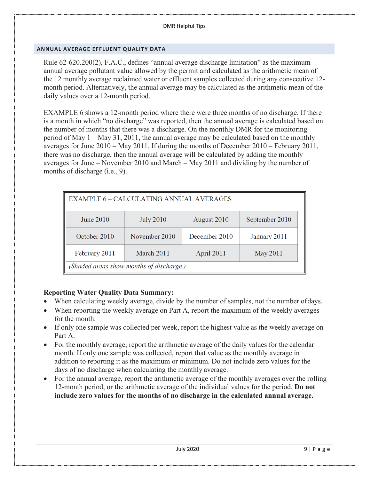#### <span id="page-9-0"></span>**ANNUAL AVERAGE EFFLUENT QUALITY DATA**

Rule 62-620.200(2), F.A.C., defines "annual average discharge limitation" as the maximum annual average pollutant value allowed by the permit and calculated as the arithmetic mean of the 12 monthly average reclaimed water or effluent samples collected during any consecutive 12 month period. Alternatively, the annual average may be calculated as the arithmetic mean of the daily values over a 12-month period.

EXAMPLE 6 shows a 12-month period where there were three months of no discharge. If there is a month in which "no discharge" was reported, then the annual average is calculated based on the number of months that there was a discharge. On the monthly DMR for the monitoring period of May 1 – May 31, 2011, the annual average may be calculated based on the monthly averages for June 2010 – May 2011. If during the months of December 2010 – February 2011, there was no discharge, then the annual average will be calculated by adding the monthly averages for June – November 2010 and March – May 2011 and dividing by the number of months of discharge (i.e., 9).

| <b>EXAMPLE 6 - CALCULATING ANNUAL AVERAGES</b> |                  |               |                |
|------------------------------------------------|------------------|---------------|----------------|
| <b>June 2010</b>                               | <b>July 2010</b> | August 2010   | September 2010 |
| October 2010                                   | November 2010    | December 2010 | January 2011   |
| February 2011                                  | March 2011       | April 2011    | May 2011       |
| (Shaded areas show months of discharge.)       |                  |               |                |

## **Reporting Water Quality Data Summary:**

- When calculating weekly average, divide by the number of samples, not the number of days.
- When reporting the weekly average on Part A, report the maximum of the weekly averages for the month.
- If only one sample was collected per week, report the highest value as the weekly average on Part A.
- For the monthly average, report the arithmetic average of the daily values for the calendar month. If only one sample was collected, report that value as the monthly average in addition to reporting it as the maximum or minimum. Do not include zero values for the days of no discharge when calculating the monthly average.
- For the annual average, report the arithmetic average of the monthly averages over the rolling 12-month period, or the arithmetic average of the individual values for the period. **Do not include zero values for the months of no discharge in the calculated annual average.**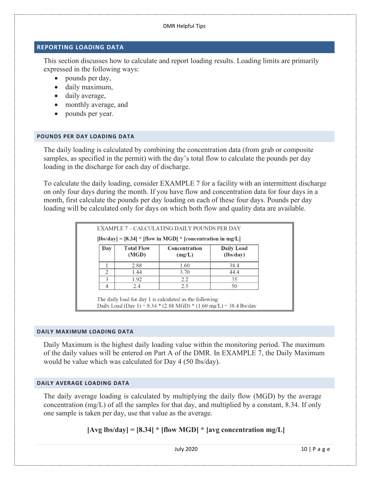## <span id="page-10-0"></span>**REPORTING LOADING DATA**

This section discusses how to calculate and report loading results. Loading limits are primarily expressed in the following ways:

- pounds per day,
- daily maximum,
- daily average,
- monthly average, and
- pounds per year.

## <span id="page-10-1"></span>**POUNDS PER DAY LOADING DATA**

The daily loading is calculated by combining the concentration data (from grab or composite samples, as specified in the permit) with the day's total flow to calculate the pounds per day loading in the discharge for each day of discharge.

To calculate the daily loading, consider EXAMPLE 7 for a facility with an intermittent discharge on only four days during the month. If you have flow and concentration data for four days in a month, first calculate the pounds per day loading on each of these four days. Pounds per day loading will be calculated only for days on which both flow and quality data are available.

|               |                            | $[ b s/day  = [8.34] * [flow in MGD] * [concentration in mg/L]$ |                                |
|---------------|----------------------------|-----------------------------------------------------------------|--------------------------------|
| Day           | <b>Total Flow</b><br>(MGD) | <b>Concentration</b><br>(mg/L)                                  | <b>Daily Load</b><br>(lbs/day) |
|               | 2.88                       | 1.60                                                            | 38.4                           |
| $\mathcal{D}$ | 1.44                       | 3.70                                                            | 44.4                           |
| 3             | 1.92                       | 2.2                                                             | 35                             |
|               | 2.4                        | 2.5                                                             | 50                             |

The daily load for day 1 is calculated as the following: Daily Load (Day 1) = 8.34 \* (2.88 MGD) \* (1.60 mg/L) = 38.4 lbs/day

## <span id="page-10-2"></span>**DAILY MAXIMUM LOADING DATA**

Daily Maximum is the highest daily loading value within the monitoring period. The maximum of the daily values will be entered on Part A of the DMR. In EXAMPLE 7, the Daily Maximum would be value which was calculated for Day 4 (50 lbs/day).

## <span id="page-10-3"></span>**DAILY AVERAGE LOADING DATA**

The daily average loading is calculated by multiplying the daily flow (MGD) by the average concentration (mg/L) of all the samples for that day, and multiplied by a constant, 8.34. If only one sample is taken per day, use that value as the average.

# **[Avg lbs/day] = [8.34] \* [flow MGD] \* [avg concentration mg/L]**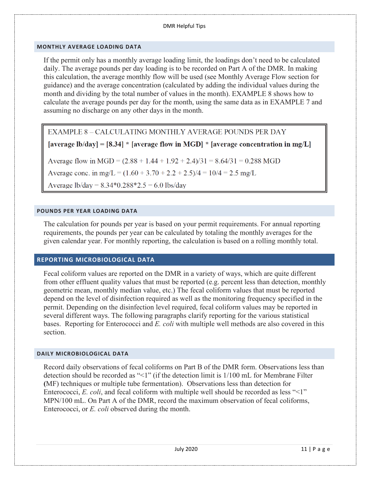## <span id="page-11-0"></span>**MONTHLY AVERAGE LOADING DATA**

If the permit only has a monthly average loading limit, the loadings don't need to be calculated daily. The average pounds per day loading is to be recorded on Part A of the DMR. In making this calculation, the average monthly flow will be used (see Monthly Average Flow section for guidance) and the average concentration (calculated by adding the individual values during the month and dividing by the total number of values in the month). EXAMPLE 8 shows how to calculate the average pounds per day for the month, using the same data as in EXAMPLE 7 and assuming no discharge on any other days in the month.

EXAMPLE 8 - CALCULATING MONTHLY AVERAGE POUNDS PER DAY

[average lb/day] = [8.34] \* [average flow in MGD] \* [average concentration in mg/L]

Average flow in MGD =  $(2.88 + 1.44 + 1.92 + 2.4)/31 = 8.64/31 = 0.288$  MGD

Average conc. in mg/L =  $(1.60 + 3.70 + 2.2 + 2.5)/4 = 10/4 = 2.5$  mg/L

Average lb/day =  $8.34*0.288*2.5 = 6.0$  lbs/day

## <span id="page-11-1"></span>**POUNDS PER YEAR LOADING DATA**

The calculation for pounds per year is based on your permit requirements. For annual reporting requirements, the pounds per year can be calculated by totaling the monthly averages for the given calendar year. For monthly reporting, the calculation is based on a rolling monthly total.

## <span id="page-11-2"></span>**REPORTING MICROBIOLOGICAL DATA**

Fecal coliform values are reported on the DMR in a variety of ways, which are quite different from other effluent quality values that must be reported (e.g. percent less than detection, monthly geometric mean, monthly median value, etc.) The fecal coliform values that must be reported depend on the level of disinfection required as well as the monitoring frequency specified in the permit. Depending on the disinfection level required, fecal coliform values may be reported in several different ways. The following paragraphs clarify reporting for the various statistical bases. Reporting for Enterococci and *E. coli* with multiple well methods are also covered in this section.

#### <span id="page-11-3"></span>**DAILY MICROBIOLOGICAL DATA**

Record daily observations of fecal coliforms on Part B of the DMR form. Observations less than detection should be recorded as "<1" (if the detection limit is 1/100 mL for Membrane Filter **(**MF) techniques or multiple tube fermentation). Observations less than detection for Enterococci, *E. coli*, and fecal coliform with multiple well should be recorded as less "<1" MPN/100 mL. On Part A of the DMR, record the maximum observation of fecal coliforms, Enterococci, or *E. coli* observed during the month.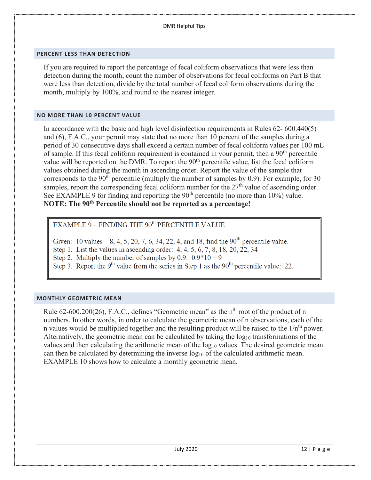#### <span id="page-12-0"></span>**PERCENT LESS THAN DETECTION**

If you are required to report the percentage of fecal coliform observations that were less than detection during the month, count the number of observations for fecal coliforms on Part B that were less than detection, divide by the total number of fecal coliform observations during the month, multiply by 100%, and round to the nearest integer.

#### <span id="page-12-1"></span>**NO MORE THAN 10 PERCENT VALUE**

In accordance with the basic and high level disinfection requirements in Rules 62- 600.440(5) and (6), F.A.C., your permit may state that no more than 10 percent of the samples during a period of 30 consecutive days shall exceed a certain number of fecal coliform values per 100 mL of sample. If this fecal coliform requirement is contained in your permit, then a 90<sup>th</sup> percentile value will be reported on the DMR. To report the  $90<sup>th</sup>$  percentile value, list the fecal coliform values obtained during the month in ascending order. Report the value of the sample that corresponds to the  $90<sup>th</sup>$  percentile (multiply the number of samples by 0.9). For example, for 30 samples, report the corresponding fecal coliform number for the  $27<sup>th</sup>$  value of ascending order. See EXAMPLE 9 for finding and reporting the  $90<sup>th</sup>$  percentile (no more than  $10\%$ ) value. **NOTE: The 90th Percentile should not be reported as a percentage!**

EXAMPLE 9 – FINDING THE  $90^{\text{th}}$  PERCENTILE VALUE

Given: 10 values – 8, 4, 5, 20, 7, 6, 34, 22, 4, and 18, find the  $90^{th}$  percentile value.

- Step 1. List the values in ascending order: 4, 4, 5, 6, 7, 8, 18, 20, 22, 34
- Step 2. Multiply the number of samples by 0.9:  $0.9*10 = 9$
- Step 3. Report the 9<sup>th</sup> value from the series in Step 1 as the 90<sup>th</sup> percentile value: 22.

#### <span id="page-12-2"></span>**MONTHLY GEOMETRIC MEAN**

Rule  $62-600.200(26)$ , F.A.C., defines "Geometric mean" as the n<sup>th</sup> root of the product of n numbers. In other words, in order to calculate the geometric mean of n observations, each of the n values would be multiplied together and the resulting product will be raised to the  $1/n<sup>th</sup>$  power. Alternatively, the geometric mean can be calculated by taking the log<sub>10</sub> transformations of the values and then calculating the arithmetic mean of the  $log_{10}$  values. The desired geometric mean can then be calculated by determining the inverse  $log_{10}$  of the calculated arithmetic mean. EXAMPLE 10 shows how to calculate a monthly geometric mean.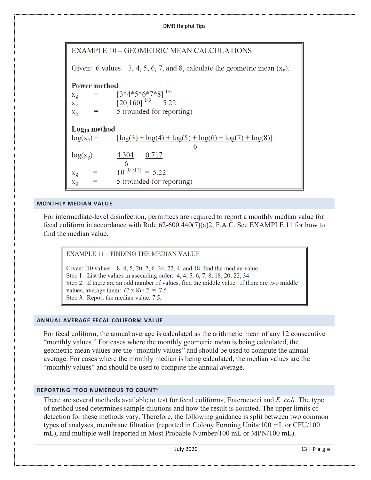

# **EXAMPLE 10 - GEOMETRIC MEAN CALCULATIONS**

Given: 6 values – 3, 4, 5, 6, 7, and 8, calculate the geometric mean  $(x_0)$ .

## **Power method**

 $[3*4*5*6*7*8]$ <sup>1/6</sup>  $\qquad \qquad =\qquad$  $X_{\mathcal{Q}}$  $\left[20,160\right]^{1/6} = 5.22$  $=$  $X_{\mathfrak{Q}}$ 5 (rounded for reporting)  $\!\!\!=\!\!\!$  $X_{\mathfrak{Q}}$ 

 $Log_{10}$  method  $log(x_2)$  =  $\lceil \log(3) + \log(4) + \log(5) + \log(6) + \log(7) + \log(8) \rceil$  $4.304 = 0.717$  $log(x_{\circ}) =$  $10^{[0.717]} = 5.22$  $X_g$ 5 (rounded for reporting)  $\rm X_g$ 

#### <span id="page-13-0"></span>**MONTHLY MEDIAN VALUE**

For intermediate-level disinfection, permittees are required to report a monthly median value for fecal coliform in accordance with Rule 62-600.440(7)(a)2, F.A.C. See EXAMPLE 11 for how to find the median value.

**EXAMPLE 11 - FINDING THE MEDIAN VALUE** 

Given: 10 values  $-8$ , 4, 5, 20, 7, 6, 34, 22, 4, and 18, find the median value. Step 1. List the values in ascending order: 4, 4, 5, 6, 7, 8, 18, 20, 22, 34 Step 2. If there are an odd number of values, find the middle value. If there are two middle values, average them:  $(7 \times 8)/2 = 7.5$ . Step 3. Report the median value: 7.5.

## <span id="page-13-1"></span>**ANNUAL AVERAGE FECAL COLIFORM VALUE**

For fecal coliform, the annual average is calculated as the arithmetic mean of any 12 consecutive "monthly values." For cases where the monthly geometric mean is being calculated, the geometric mean values are the "monthly values" and should be used to compute the annual average. For cases where the monthly median is being calculated, the median values are the "monthly values" and should be used to compute the annual average.

## <span id="page-13-2"></span>**REPORTING "TOO NUMEROUS TO COUNT"**

There are several methods available to test for fecal coliforms, Enterococci and *E. coli*. The type of method used determines sample dilutions and how the result is counted. The upper limits of detection for these methods vary. Therefore, the following guidance is split between two common types of analyses, membrane filtration (reported in Colony Forming Units/100 mL or CFU/100 mL), and multiple well (reported in Most Probable Number/100 mL or MPN/100 mL).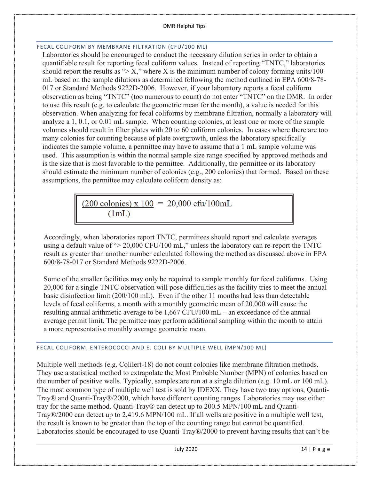## <span id="page-14-0"></span>FECAL COLIFORM BY MEMBRANE FILTRATION (CFU/100 ML)

Laboratories should be encouraged to conduct the necessary dilution series in order to obtain a quantifiable result for reporting fecal coliform values. Instead of reporting "TNTC," laboratories should report the results as " $> X$ ," where X is the minimum number of colony forming units/100 mL based on the sample dilutions as determined following the method outlined in EPA 600/8-78- 017 or Standard Methods 9222D-2006. However, if your laboratory reports a fecal coliform observation as being "TNTC" (too numerous to count) do not enter "TNTC" on the DMR. In order to use this result (e.g. to calculate the geometric mean for the month), a value is needed for this observation. When analyzing for fecal coliforms by membrane filtration, normally a laboratory will analyze a 1, 0.1, or 0.01 mL sample. When counting colonies, at least one or more of the sample volumes should result in filter plates with 20 to 60 coliform colonies. In cases where there are too many colonies for counting because of plate overgrowth, unless the laboratory specifically indicates the sample volume, a permittee may have to assume that a 1 mL sample volume was used. This assumption is within the normal sample size range specified by approved methods and is the size that is most favorable to the permittee. Additionally, the permittee or its laboratory should estimate the minimum number of colonies (e.g., 200 colonies) that formed. Based on these assumptions, the permittee may calculate coliform density as:

> $(200 \text{ colonies}) \times 100 = 20,000 \text{ cftu}/100 \text{mL}$  $(1mL)$

Accordingly, when laboratories report TNTC, permittees should report and calculate averages using a default value of "> 20,000 CFU/100 mL," unless the laboratory can re-report the TNTC result as greater than another number calculated following the method as discussed above in EPA 600/8-78-017 or Standard Methods 9222D-2006.

Some of the smaller facilities may only be required to sample monthly for fecal coliforms. Using 20,000 for a single TNTC observation will pose difficulties as the facility tries to meet the annual basic disinfection limit (200/100 mL). Even if the other 11 months had less than detectable levels of fecal coliforms, a month with a monthly geometric mean of 20,000 will cause the resulting annual arithmetic average to be 1,667 CFU/100 mL – an exceedance of the annual average permit limit. The permittee may perform additional sampling within the month to attain a more representative monthly average geometric mean.

# <span id="page-14-1"></span>FECAL COLIFORM, ENTEROCOCCI AND E. COLI BY MULTIPLE WELL (MPN/100 ML)

Multiple well methods (e.g. Colilert-18) do not count colonies like membrane filtration methods. They use a statistical method to extrapolate the Most Probable Number (MPN) of colonies based on the number of positive wells. Typically, samples are run at a single dilution (e.g. 10 mL or 100 mL). The most common type of multiple well test is sold by IDEXX. They have two tray options, Quanti-Tray® and Quanti-Tray®/2000, which have different counting ranges. Laboratories may use either tray for the same method. Quanti-Tray® can detect up to 200.5 MPN/100 mL and Quanti-Tray®/2000 can detect up to 2,419.6 MPN/100 mL. If all wells are positive in a multiple well test, the result is known to be greater than the top of the counting range but cannot be quantified. Laboratories should be encouraged to use Quanti-Tray®/2000 to prevent having results that can't be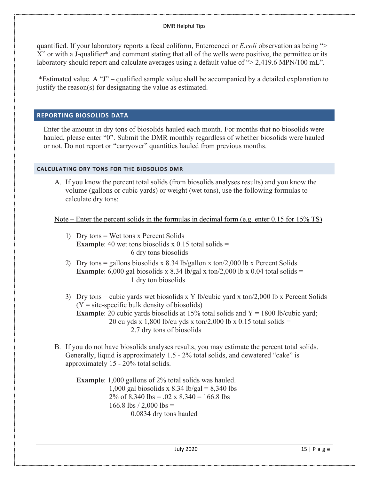quantified. If your laboratory reports a fecal coliform, Enterococci or *E.coli* observation as being "> X" or with a J-qualifier\* and comment stating that all of the wells were positive, the permittee or its laboratory should report and calculate averages using a default value of "> 2,419.6 MPN/100 mL".

\*Estimated value. A "J" – qualified sample value shall be accompanied by a detailed explanation to justify the reason(s) for designating the value as estimated.

## <span id="page-15-0"></span>**REPORTING BIOSOLIDS DATA**

Enter the amount in dry tons of biosolids hauled each month. For months that no biosolids were hauled, please enter "0". Submit the DMR monthly regardless of whether biosolids were hauled or not. Do not report or "carryover" quantities hauled from previous months.

## <span id="page-15-1"></span>**CALCULATING DRY TONS FOR THE BIOSOLIDS DMR**

A. If you know the percent total solids (from biosolids analyses results) and you know the volume (gallons or cubic yards) or weight (wet tons), use the following formulas to calculate dry tons:

Note – Enter the percent solids in the formulas in decimal form (e.g. enter 0.15 for 15% TS)

- 1) Dry tons = Wet tons x Percent Solids **Example:** 40 wet tons biosolids x 0.15 total solids  $=$ 6 dry tons biosolids
- 2) Dry tons = gallons biosolids x 8.34 lb/gallon x ton/2,000 lb x Percent Solids **Example**: 6,000 gal biosolids x 8.34 lb/gal x ton/2,000 lb x 0.04 total solids = 1 dry ton biosolids
- 3) Dry tons = cubic yards wet biosolids x Y lb/cubic yard x ton/2,000 lb x Percent Solids  $(Y = site-specific bulk density of biosoids)$ **Example**: 20 cubic yards biosolids at 15% total solids and  $Y = 1800$  lb/cubic yard; 20 cu yds x 1,800 lb/cu yds x ton/2,000 lb x 0.15 total solids = 2.7 dry tons of biosolids
- B. If you do not have biosolids analyses results, you may estimate the percent total solids. Generally, liquid is approximately 1.5 - 2% total solids, and dewatered "cake" is approximately 15 - 20% total solids.

**Example**: 1,000 gallons of 2% total solids was hauled. 1,000 gal biosolids x 8.34 lb/gal =  $8,340$  lbs 2% of 8,340 lbs = .02 x 8,340 = 166.8 lbs 166.8 lbs  $/$  2,000 lbs = 0.0834 dry tons hauled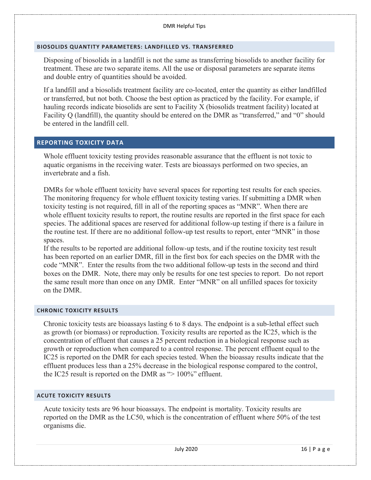## <span id="page-16-0"></span>**BIOSOLIDS QUANTITY PARAMETERS: LANDFILLED VS. TRANSFERRED**

Disposing of biosolids in a landfill is not the same as transferring biosolids to another facility for treatment. These are two separate items. All the use or disposal parameters are separate items and double entry of quantities should be avoided.

If a landfill and a biosolids treatment facility are co-located, enter the quantity as either landfilled or transferred, but not both. Choose the best option as practiced by the facility. For example, if hauling records indicate biosolids are sent to Facility X (biosolids treatment facility) located at Facility Q (landfill), the quantity should be entered on the DMR as "transferred," and "0" should be entered in the landfill cell.

## <span id="page-16-1"></span>**REPORTING TOXICITY DATA**

Whole effluent toxicity testing provides reasonable assurance that the effluent is not toxic to aquatic organisms in the receiving water. Tests are bioassays performed on two species, an invertebrate and a fish.

DMRs for whole effluent toxicity have several spaces for reporting test results for each species. The monitoring frequency for whole effluent toxicity testing varies. If submitting a DMR when toxicity testing is not required, fill in all of the reporting spaces as "MNR". When there are whole effluent toxicity results to report, the routine results are reported in the first space for each species. The additional spaces are reserved for additional follow-up testing if there is a failure in the routine test. If there are no additional follow-up test results to report, enter "MNR" in those spaces.

If the results to be reported are additional follow-up tests, and if the routine toxicity test result has been reported on an earlier DMR, fill in the first box for each species on the DMR with the code "MNR". Enter the results from the two additional follow-up tests in the second and third boxes on the DMR. Note, there may only be results for one test species to report. Do not report the same result more than once on any DMR. Enter "MNR" on all unfilled spaces for toxicity on the DMR.

#### <span id="page-16-2"></span>**CHRONIC TOXICITY RESULTS**

Chronic toxicity tests are bioassays lasting 6 to 8 days. The endpoint is a sub-lethal effect such as growth (or biomass) or reproduction. Toxicity results are reported as the IC25, which is the concentration of effluent that causes a 25 percent reduction in a biological response such as growth or reproduction when compared to a control response. The percent effluent equal to the IC25 is reported on the DMR for each species tested. When the bioassay results indicate that the effluent produces less than a 25% decrease in the biological response compared to the control, the IC25 result is reported on the DMR as "> 100%" effluent.

#### <span id="page-16-3"></span>**ACUTE TOXICITY RESULTS**

Acute toxicity tests are 96 hour bioassays. The endpoint is mortality. Toxicity results are reported on the DMR as the LC50, which is the concentration of effluent where 50% of the test organisms die.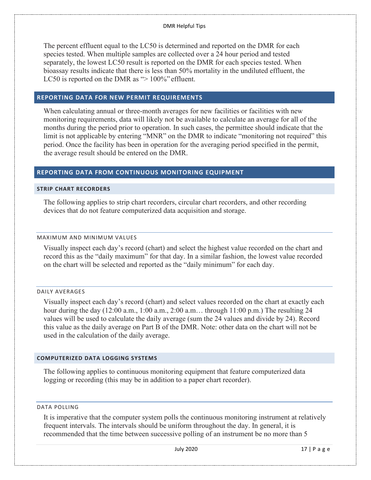The percent effluent equal to the LC50 is determined and reported on the DMR for each species tested. When multiple samples are collected over a 24 hour period and tested separately, the lowest LC50 result is reported on the DMR for each species tested. When bioassay results indicate that there is less than 50% mortality in the undiluted effluent, the LC50 is reported on the DMR as "> 100%" effluent.

## <span id="page-17-0"></span>**REPORTING DATA FOR NEW PERMIT REQUIREMENTS**

When calculating annual or three-month averages for new facilities or facilities with new monitoring requirements, data will likely not be available to calculate an average for all of the months during the period prior to operation. In such cases, the permittee should indicate that the limit is not applicable by entering "MNR" on the DMR to indicate "monitoring not required" this period. Once the facility has been in operation for the averaging period specified in the permit, the average result should be entered on the DMR.

#### <span id="page-17-1"></span>**REPORTING DATA FROM CONTINUOUS MONITORING EQUIPMENT**

#### <span id="page-17-2"></span>**STRIP CHART RECORDERS**

The following applies to strip chart recorders, circular chart recorders, and other recording devices that do not feature computerized data acquisition and storage.

#### <span id="page-17-3"></span>MAXIMUM AND MINIMUM VALUES

Visually inspect each day's record (chart) and select the highest value recorded on the chart and record this as the "daily maximum" for that day. In a similar fashion, the lowest value recorded on the chart will be selected and reported as the "daily minimum" for each day.

#### <span id="page-17-4"></span>DAILY AVERAGES

Visually inspect each day's record (chart) and select values recorded on the chart at exactly each hour during the day (12:00 a.m., 1:00 a.m., 2:00 a.m... through 11:00 p.m.) The resulting 24 values will be used to calculate the daily average (sum the 24 values and divide by 24). Record this value as the daily average on Part B of the DMR. Note: other data on the chart will not be used in the calculation of the daily average.

#### <span id="page-17-5"></span>**COMPUTERIZED DATA LOGGING SYSTEMS**

The following applies to continuous monitoring equipment that feature computerized data logging or recording (this may be in addition to a paper chart recorder).

#### <span id="page-17-6"></span>DATA POLLING

It is imperative that the computer system polls the continuous monitoring instrument at relatively frequent intervals. The intervals should be uniform throughout the day. In general, it is recommended that the time between successive polling of an instrument be no more than 5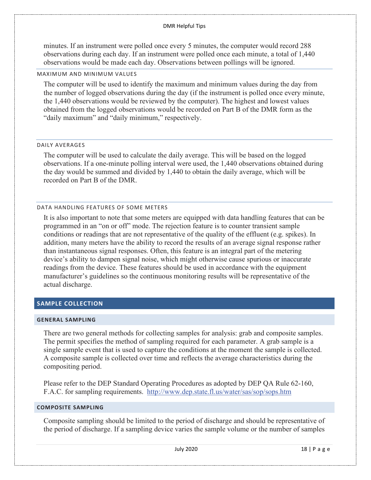minutes. If an instrument were polled once every 5 minutes, the computer would record 288 observations during each day. If an instrument were polled once each minute, a total of 1,440 observations would be made each day. Observations between pollings will be ignored.

#### <span id="page-18-0"></span>MAXIMUM AND MINIMUM VALUES

The computer will be used to identify the maximum and minimum values during the day from the number of logged observations during the day (if the instrument is polled once every minute, the 1,440 observations would be reviewed by the computer). The highest and lowest values obtained from the logged observations would be recorded on Part B of the DMR form as the "daily maximum" and "daily minimum," respectively.

#### <span id="page-18-1"></span>DAILY AVERAGES

The computer will be used to calculate the daily average. This will be based on the logged observations. If a one-minute polling interval were used, the 1,440 observations obtained during the day would be summed and divided by 1,440 to obtain the daily average, which will be recorded on Part B of the DMR.

#### <span id="page-18-2"></span>DATA HANDLING FEATURES OF SOME METERS

It is also important to note that some meters are equipped with data handling features that can be programmed in an "on or off" mode. The rejection feature is to counter transient sample conditions or readings that are not representative of the quality of the effluent (e.g. spikes). In addition, many meters have the ability to record the results of an average signal response rather than instantaneous signal responses. Often, this feature is an integral part of the metering device's ability to dampen signal noise, which might otherwise cause spurious or inaccurate readings from the device. These features should be used in accordance with the equipment manufacturer's guidelines so the continuous monitoring results will be representative of the actual discharge.

## <span id="page-18-3"></span>**SAMPLE COLLECTION**

#### <span id="page-18-4"></span>**GENERAL SAMPLING**

There are two general methods for collecting samples for analysis: grab and composite samples. The permit specifies the method of sampling required for each parameter. A grab sample is a single sample event that is used to capture the conditions at the moment the sample is collected. A composite sample is collected over time and reflects the average characteristics during the compositing period.

Please refer to the DEP Standard Operating Procedures as adopted by DEP QA Rule 62-160, F.A.C. for sampling requirements. <http://www.dep.state.fl.us/water/sas/sop/sops.htm>

#### <span id="page-18-5"></span>**COMPOSITE SAMPLING**

Composite sampling should be limited to the period of discharge and should be representative of the period of discharge. If a sampling device varies the sample volume or the number of samples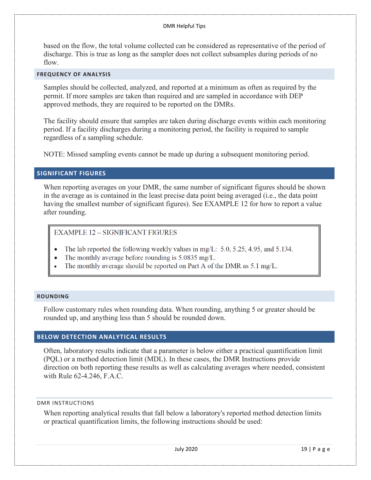based on the flow, the total volume collected can be considered as representative of the period of discharge. This is true as long as the sampler does not collect subsamples during periods of no flow.

## <span id="page-19-0"></span>**FREQUENCY OF ANALYSIS**

Samples should be collected, analyzed, and reported at a minimum as often as required by the permit. If more samples are taken than required and are sampled in accordance with DEP approved methods, they are required to be reported on the DMRs.

The facility should ensure that samples are taken during discharge events within each monitoring period. If a facility discharges during a monitoring period, the facility is required to sample regardless of a sampling schedule.

NOTE: Missed sampling events cannot be made up during a subsequent monitoring period.

## <span id="page-19-1"></span>**SIGNIFICANT FIGURES**

When reporting averages on your DMR, the same number of significant figures should be shown in the average as is contained in the least precise data point being averaged (i.e., the data point having the smallest number of significant figures). See EXAMPLE 12 for how to report a value after rounding.

## EXAMPLE 12 - SIGNIFICANT FIGURES

- The lab reported the following weekly values in mg/L:  $5.0$ ,  $5.25$ ,  $4.95$ , and  $5.134$ .
- The monthly average before rounding is  $5.0835$  mg/L.
- The monthly average should be reported on Part A of the DMR as 5.1 mg/L.

#### <span id="page-19-2"></span>**ROUNDING**

Follow customary rules when rounding data. When rounding, anything 5 or greater should be rounded up, and anything less than 5 should be rounded down.

## <span id="page-19-3"></span>**BELOW DETECTION ANALYTICAL RESULTS**

Often, laboratory results indicate that a parameter is below either a practical quantification limit (PQL) or a method detection limit (MDL). In these cases, the DMR Instructions provide direction on both reporting these results as well as calculating averages where needed, consistent with Rule 62-4.246, F.A.C.

#### <span id="page-19-4"></span>DMR INSTRUCTIONS

When reporting analytical results that fall below a laboratory's reported method detection limits or practical quantification limits, the following instructions should be used: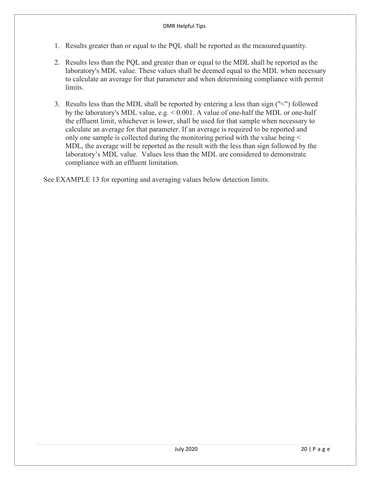- 1. Results greater than or equal to the PQL shall be reported as the measured quantity.
- 2. Results less than the PQL and greater than or equal to the MDL shall be reported as the laboratory's MDL value. These values shall be deemed equal to the MDL when necessary to calculate an average for that parameter and when determining compliance with permit limits.
- 3. Results less than the MDL shall be reported by entering a less than sign ("<") followed by the laboratory's MDL value, e.g. < 0.001. A value of one-half the MDL or one-half the effluent limit, whichever is lower, shall be used for that sample when necessary to calculate an average for that parameter. If an average is required to be reported and only one sample is collected during the monitoring period with the value being < MDL, the average will be reported as the result with the less than sign followed by the laboratory's MDL value. Values less than the MDL are considered to demonstrate compliance with an effluent limitation.

See EXAMPLE 13 for reporting and averaging values below detection limits.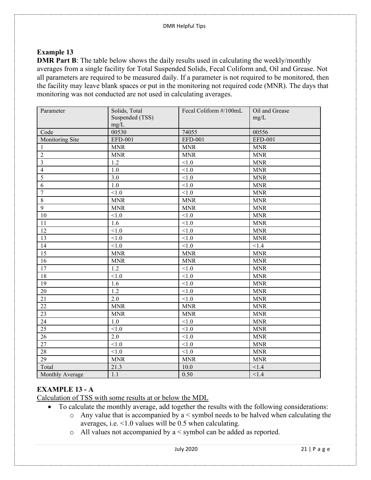# **Example 13**

**DMR Part B**: The table below shows the daily results used in calculating the weekly/monthly averages from a single facility for Total Suspended Solids, Fecal Coliform and, Oil and Grease. Not all parameters are required to be measured daily. If a parameter is not required to be monitored, then the facility may leave blank spaces or put in the monitoring not required code (MNR). The days that monitoring was not conducted are not used in calculating averages.

| Parameter               | Solids, Total    | Fecal Coliform #/100mL | Oil and Grease       |
|-------------------------|------------------|------------------------|----------------------|
|                         | Suspended (TSS)  |                        | mg/L                 |
|                         | mg/L             |                        |                      |
| Code                    | 00530            | 74055                  | 00556                |
| Monitoring Site         | EFD-001          | EFD-001                | EFD-001              |
| -1                      | <b>MNR</b>       | <b>MNR</b>             | <b>MNR</b>           |
| $\overline{2}$          | <b>MNR</b>       | <b>MNR</b>             | <b>MNR</b>           |
| $\overline{\mathbf{3}}$ | 1.2              | < 1.0                  | <b>MNR</b>           |
| $\overline{4}$          | 1.0              | < 1.0                  | <b>MNR</b>           |
| $\overline{5}$          | $\overline{3.0}$ | $\overline{<}1.0$      | <b>MNR</b>           |
| 6                       | $1.0\,$          | < 1.0                  | <b>MNR</b>           |
| $\overline{7}$          | < 1.0            | < 1.0                  | <b>MNR</b>           |
| $\,8\,$                 | <b>MNR</b>       | <b>MNR</b>             | <b>MNR</b>           |
| 9                       | <b>MNR</b>       | <b>MNR</b>             | <b>MNR</b>           |
| 10                      | $<1.0$           | $<1.0$                 | <b>MNR</b>           |
| 11                      | 1.6              | < 1.0                  | <b>MNR</b>           |
| 12                      | < 1.0            | < 1.0                  | <b>MNR</b>           |
| 13                      | < 1.0            | < 1.0                  | <b>MNR</b>           |
| 14                      | < 1.0            | < 1.0                  | < 1.4                |
| 15                      | <b>MNR</b>       | <b>MNR</b>             | <b>MNR</b>           |
| 16                      | <b>MNR</b>       | <b>MNR</b>             | <b>MNR</b>           |
| $\overline{17}$         | 1.2              | $<1.0$                 | <b>MNR</b>           |
| 18                      | < 1.0            | < 1.0                  | <b>MNR</b>           |
| 19                      | 1.6              | $\overline{<}1.0$      | <b>MNR</b>           |
| 20                      | 1.2              | < 1.0                  | <b>MNR</b>           |
| $21\,$                  | $2.0\,$          | $<1.0$                 | $\operatorname{MNR}$ |
| $\overline{22}$         | <b>MNR</b>       | <b>MNR</b>             | <b>MNR</b>           |
| $\overline{23}$         | <b>MNR</b>       | <b>MNR</b>             | <b>MNR</b>           |
| 24                      | 1.0              | < 1.0                  | <b>MNR</b>           |
| 25                      | < 1.0            | $<1.0$                 | <b>MNR</b>           |
| 26                      | 2.0              | < 1.0                  | <b>MNR</b>           |
| $\overline{27}$         | < 1.0            | < 1.0                  | <b>MNR</b>           |
| 28                      | < 1.0            | $<1.0$                 | <b>MNR</b>           |
| $\overline{29}$         | <b>MNR</b>       | <b>MNR</b>             | <b>MNR</b>           |
| Total                   | 21.3             | 10.0                   | < 1.4                |
| Monthly Average         | 1.1              | 0.50                   | < 1.4                |

# **EXAMPLE 13 - A**

Calculation of TSS with some results at or below the MDL

- To calculate the monthly average, add together the results with the following considerations:
	- o Any value that is accompanied by a < symbol needs to be halved when calculating the averages, i.e. <1.0 values will be 0.5 when calculating.
	- o All values not accompanied by a < symbol can be added as reported.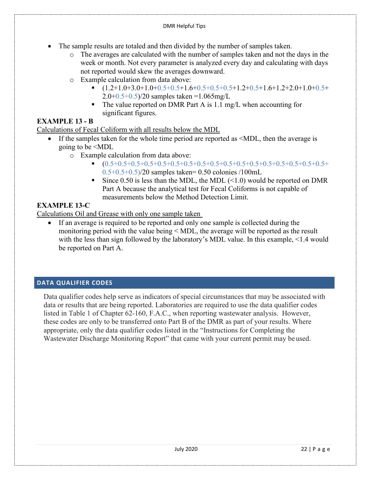- The sample results are totaled and then divided by the number of samples taken.
	- o The averages are calculated with the number of samples taken and not the days in the week or month. Not every parameter is analyzed every day and calculating with days not reported would skew the averages downward.
	- o Example calculation from data above:<br>■  $(1.2+1.0+3.0+1.0+0.5+0.5+1.6$ 
		- $(1.2+1.0+3.0+1.0+0.5+0.5+1.6+0.5+0.5+0.5+1.2+0.5+1.6+1.2+2.0+1.0+0.5+$  $2.0+0.5+0.5$ )/20 samples taken =1.065mg/L
		- The value reported on DMR Part A is 1.1 mg/L when accounting for significant figures.

# **EXAMPLE 13 - B**

Calculations of Fecal Coliform with all results below the MDL

- If the samples taken for the whole time period are reported as  $\leq MDL$ , then the average is going to be <MDL
	- $\circ$  Example calculation from data above:<br> $(0.5+0.5+0.5+0.5+0.5+0.5+0.5)$ 
		- (0.5+0.5+0.5+0.5+0.5+0.5+0.5+0.5+0.5+0.5+0.5+0.5+0.5+0.5+0.5+0.5+0.5+  $0.5+0.5+0.5$ )/20 samples taken= 0.50 colonies /100mL
		- Since 0.50 is less than the MDL, the MDL  $(\leq 1.0)$  would be reported on DMR Part A because the analytical test for Fecal Coliforms is not capable of measurements below the Method Detection Limit.

# **EXAMPLE 13-C**

Calculations Oil and Grease with only one sample taken

• If an average is required to be reported and only one sample is collected during the monitoring period with the value being < MDL, the average will be reported as the result with the less than sign followed by the laboratory's MDL value. In this example, <1.4 would be reported on Part A.

# <span id="page-22-0"></span>**DATA QUALIFIER CODES**

Data qualifier codes help serve as indicators of special circumstances that may be associated with data or results that are being reported. Laboratories are required to use the data qualifier codes listed in Table 1 of Chapter 62-160, F.A.C., when reporting wastewater analysis. However, these codes are only to be transferred onto Part B of the DMR as part of your results. Where appropriate, only the data qualifier codes listed in the "Instructions for Completing the Wastewater Discharge Monitoring Report" that came with your current permit may be used.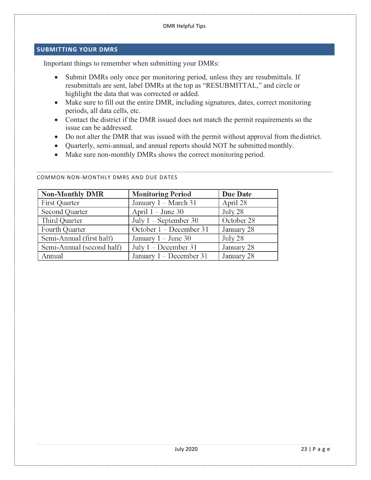## <span id="page-23-0"></span>**SUBMITTING YOUR DMRS**

Important things to remember when submitting your DMRs:

- Submit DMRs only once per monitoring period, unless they are resubmittals. If resubmittals are sent, label DMRs at the top as "RESUBMITTAL," and circle or highlight the data that was corrected or added.
- Make sure to fill out the entire DMR, including signatures, dates, correct monitoring periods, all data cells, etc.
- Contact the district if the DMR issued does not match the permit requirements so the issue can be addressed.
- Do not alter the DMR that was issued with the permit without approval from thedistrict.
- Quarterly, semi-annual, and annual reports should NOT be submitted monthly.
- Make sure non-monthly DMRs shows the correct monitoring period.

| <b>Non-Monthly DMR</b>    | <b>Monitoring Period</b>  | <b>Due Date</b> |
|---------------------------|---------------------------|-----------------|
| <b>First Quarter</b>      | January 1 – March 31      | April 28        |
| <b>Second Quarter</b>     | April $1 -$ June 30       | July 28         |
| Third Quarter             | July $1 -$ September 30   | October 28      |
| <b>Fourth Quarter</b>     | October 1 – December 31   | January 28      |
| Semi-Annual (first half)  | January $1 -$ June 30     | July 28         |
| Semi-Annual (second half) | July $1 -$ December 31    | January 28      |
| Annual                    | January $1 - December 31$ | January 28      |

<span id="page-23-1"></span>COMMON NON-MONTHLY DMRS AND DUE DATES